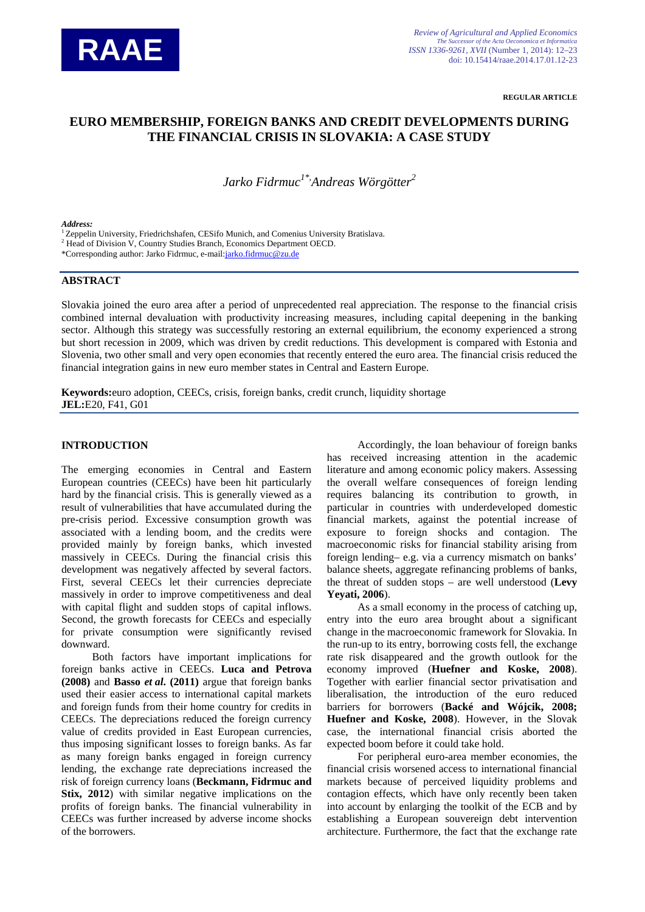

**REGULAR ARTICLE**

# **EURO MEMBERSHIP, FOREIGN BANKS AND CREDIT DEVELOPMENTS DURING THE FINANCIAL CRISIS IN SLOVAKIA: A CASE STUDY**

*Jarko Fidrmuc1\*, Andreas Wörgötter<sup>2</sup>*

#### *Address:*

<sup>1</sup> Zeppelin University, Friedrichshafen, CESifo Munich, and Comenius University Bratislava.

<sup>2</sup> Head of Division V, Country Studies Branch, Economics Department OECD.

\*Corresponding author: Jarko Fidrmuc, e-mail[:jarko.fidrmuc@zu.de](mailto:jarko.fidrmuc@zu.de)

## **ABSTRACT**

Slovakia joined the euro area after a period of unprecedented real appreciation. The response to the financial crisis combined internal devaluation with productivity increasing measures, including capital deepening in the banking sector. Although this strategy was successfully restoring an external equilibrium, the economy experienced a strong but short recession in 2009, which was driven by credit reductions. This development is compared with Estonia and Slovenia, two other small and very open economies that recently entered the euro area. The financial crisis reduced the financial integration gains in new euro member states in Central and Eastern Europe.

**Keywords:**euro adoption, CEECs, crisis, foreign banks, credit crunch, liquidity shortage **JEL:**E20, F41, G01

### **INTRODUCTION**

The emerging economies in Central and Eastern European countries (CEECs) have been hit particularly hard by the financial crisis. This is generally viewed as a result of vulnerabilities that have accumulated during the pre-crisis period. Excessive consumption growth was associated with a lending boom, and the credits were provided mainly by foreign banks, which invested massively in CEECs. During the financial crisis this development was negatively affected by several factors. First, several CEECs let their currencies depreciate massively in order to improve competitiveness and deal with capital flight and sudden stops of capital inflows. Second, the growth forecasts for CEECs and especially for private consumption were significantly revised downward.

Both factors have important implications for foreign banks active in CEECs. **Luca and Petrova (2008)** and **Basso** *et al***. (2011)** argue that foreign banks used their easier access to international capital markets and foreign funds from their home country for credits in CEECs. The depreciations reduced the foreign currency value of credits provided in East European currencies, thus imposing significant losses to foreign banks. As far as many foreign banks engaged in foreign currency lending, the exchange rate depreciations increased the risk of foreign currency loans (**Beckmann, Fidrmuc and Stix, 2012**) with similar negative implications on the profits of foreign banks. The financial vulnerability in CEECs was further increased by adverse income shocks of the borrowers.

Accordingly, the loan behaviour of foreign banks has received increasing attention in the academic literature and among economic policy makers. Assessing the overall welfare consequences of foreign lending requires balancing its contribution to growth, in particular in countries with underdeveloped domestic financial markets, against the potential increase of exposure to foreign shocks and contagion. The macroeconomic risks for financial stability arising from foreign lending– e.g. via a currency mismatch on banks' balance sheets, aggregate refinancing problems of banks, the threat of sudden stops – are well understood (**Levy Yeyati, 2006**).

As a small economy in the process of catching up, entry into the euro area brought about a significant change in the macroeconomic framework for Slovakia. In the run-up to its entry, borrowing costs fell, the exchange rate risk disappeared and the growth outlook for the economy improved (**Huefner and Koske, 2008**). Together with earlier financial sector privatisation and liberalisation, the introduction of the euro reduced barriers for borrowers (**Backé and Wójcik, 2008; Huefner and Koske, 2008**). However, in the Slovak case, the international financial crisis aborted the expected boom before it could take hold.

For peripheral euro-area member economies, the financial crisis worsened access to international financial markets because of perceived liquidity problems and contagion effects, which have only recently been taken into account by enlarging the toolkit of the ECB and by establishing a European souvereign debt intervention architecture. Furthermore, the fact that the exchange rate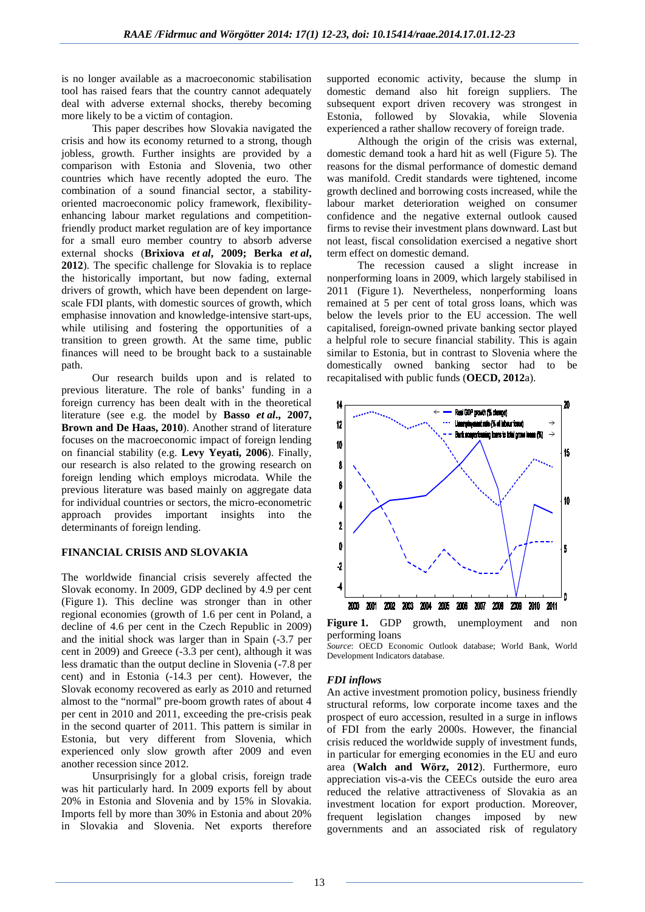is no longer available as a macroeconomic stabilisation tool has raised fears that the country cannot adequately deal with adverse external shocks, thereby becoming more likely to be a victim of contagion.

This paper describes how Slovakia navigated the crisis and how its economy returned to a strong, though jobless, growth. Further insights are provided by a comparison with Estonia and Slovenia, two other countries which have recently adopted the euro. The combination of a sound financial sector, a stabilityoriented macroeconomic policy framework, flexibilityenhancing labour market regulations and competitionfriendly product market regulation are of key importance for a small euro member country to absorb adverse external shocks (**Brixiova** *et al***, 2009; Berka** *et al***, 2012**). The specific challenge for Slovakia is to replace the historically important, but now fading, external drivers of growth, which have been dependent on largescale FDI plants, with domestic sources of growth, which emphasise innovation and knowledge-intensive start-ups, while utilising and fostering the opportunities of a transition to green growth. At the same time, public finances will need to be brought back to a sustainable path.

Our research builds upon and is related to previous literature. The role of banks' funding in a foreign currency has been dealt with in the theoretical literature (see e.g. the model by **Basso** *et al***., 2007, Brown and De Haas, 2010**). Another strand of literature focuses on the macroeconomic impact of foreign lending on financial stability (e.g. **Levy Yeyati, 2006**). Finally, our research is also related to the growing research on foreign lending which employs microdata. While the previous literature was based mainly on aggregate data for individual countries or sectors, the micro-econometric approach provides important insights into the determinants of foreign lending.

## **FINANCIAL CRISIS AND SLOVAKIA**

The worldwide financial crisis severely affected the Slovak economy. In 2009, GDP declined by 4.9 per cent (Figure 1). This decline was stronger than in other regional economies (growth of 1.6 per cent in Poland, a decline of 4.6 per cent in the Czech Republic in 2009) and the initial shock was larger than in Spain (-3.7 per cent in 2009) and Greece (-3.3 per cent), although it was less dramatic than the output decline in Slovenia (-7.8 per cent) and in Estonia (-14.3 per cent). However, the Slovak economy recovered as early as 2010 and returned almost to the "normal" pre-boom growth rates of about 4 per cent in 2010 and 2011, exceeding the pre-crisis peak in the second quarter of 2011. This pattern is similar in Estonia, but very different from Slovenia, which experienced only slow growth after 2009 and even another recession since 2012.

Unsurprisingly for a global crisis, foreign trade was hit particularly hard. In 2009 exports fell by about 20% in Estonia and Slovenia and by 15% in Slovakia. Imports fell by more than 30% in Estonia and about 20% in Slovakia and Slovenia. Net exports therefore

supported economic activity, because the slump in domestic demand also hit foreign suppliers. The subsequent export driven recovery was strongest in Estonia, followed by Slovakia, while Slovenia experienced a rather shallow recovery of foreign trade.

Although the origin of the crisis was external, domestic demand took a hard hit as well (Figure 5). The reasons for the dismal performance of domestic demand was manifold. Credit standards were tightened, income growth declined and borrowing costs increased, while the labour market deterioration weighed on consumer confidence and the negative external outlook caused firms to revise their investment plans downward. Last but not least, fiscal consolidation exercised a negative short term effect on domestic demand.

The recession caused a slight increase in nonperforming loans in 2009, which largely stabilised in 2011 (Figure 1). Nevertheless, nonperforming loans remained at 5 per cent of total gross loans, which was below the levels prior to the EU accession. The well capitalised, foreign-owned private banking sector played a helpful role to secure financial stability. This is again similar to Estonia, but in contrast to Slovenia where the domestically owned banking sector had to be recapitalised with public funds (**OECD, 2012**a).



**Figure 1.** GDP growth, unemployment and non performing loans

*Source*: OECD Economic Outlook database; World Bank, World Development Indicators database.

#### *FDI inflows*

An active investment promotion policy, business friendly structural reforms, low corporate income taxes and the prospect of euro accession, resulted in a surge in inflows of FDI from the early 2000s. However, the financial crisis reduced the worldwide supply of investment funds, in particular for emerging economies in the EU and euro area (**Walch and Wörz, 2012**). Furthermore, euro appreciation vis-a-vis the CEECs outside the euro area reduced the relative attractiveness of Slovakia as an investment location for export production. Moreover, frequent legislation changes imposed by new governments and an associated risk of regulatory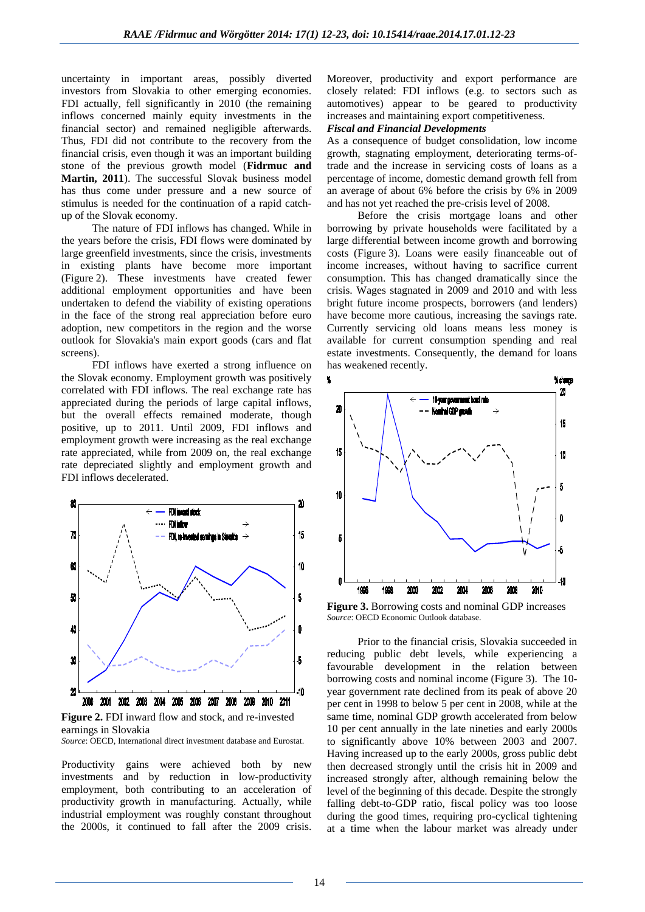uncertainty in important areas, possibly diverted investors from Slovakia to other emerging economies. FDI actually, fell significantly in 2010 (the remaining inflows concerned mainly equity investments in the financial sector) and remained negligible afterwards. Thus, FDI did not contribute to the recovery from the financial crisis, even though it was an important building stone of the previous growth model (**Fidrmuc and Martin, 2011**). The successful Slovak business model has thus come under pressure and a new source of stimulus is needed for the continuation of a rapid catchup of the Slovak economy.

The nature of FDI inflows has changed. While in the years before the crisis, FDI flows were dominated by large greenfield investments, since the crisis, investments in existing plants have become more important (Figure 2). These investments have created fewer additional employment opportunities and have been undertaken to defend the viability of existing operations in the face of the strong real appreciation before euro adoption, new competitors in the region and the worse outlook for Slovakia's main export goods (cars and flat screens).

FDI inflows have exerted a strong influence on the Slovak economy. Employment growth was positively correlated with FDI inflows. The real exchange rate has appreciated during the periods of large capital inflows, but the overall effects remained moderate, though positive, up to 2011. Until 2009, FDI inflows and employment growth were increasing as the real exchange rate appreciated, while from 2009 on, the real exchange rate depreciated slightly and employment growth and FDI inflows decelerated.



**Figure 2.** FDI inward flow and stock, and re-invested earnings in Slovakia *Source*: OECD, International direct investment database and Eurostat.

Productivity gains were achieved both by new investments and by reduction in low-productivity employment, both contributing to an acceleration of productivity growth in manufacturing. Actually, while industrial employment was roughly constant throughout the 2000s, it continued to fall after the 2009 crisis.

Moreover, productivity and export performance are closely related: FDI inflows (e.g. to sectors such as automotives) appear to be geared to productivity increases and maintaining export competitiveness.

## *Fiscal and Financial Developments*

As a consequence of budget consolidation, low income growth, stagnating employment, deteriorating terms-oftrade and the increase in servicing costs of loans as a percentage of income, domestic demand growth fell from an average of about 6% before the crisis by 6% in 2009 and has not yet reached the pre-crisis level of 2008.

Before the crisis mortgage loans and other borrowing by private households were facilitated by a large differential between income growth and borrowing costs (Figure 3). Loans were easily financeable out of income increases, without having to sacrifice current consumption. This has changed dramatically since the crisis. Wages stagnated in 2009 and 2010 and with less bright future income prospects, borrowers (and lenders) have become more cautious, increasing the savings rate. Currently servicing old loans means less money is available for current consumption spending and real estate investments. Consequently, the demand for loans has weakened recently.



**Figure 3.** Borrowing costs and nominal GDP increases *Source*: OECD Economic Outlook database.

Prior to the financial crisis, Slovakia succeeded in reducing public debt levels, while experiencing a favourable development in the relation between borrowing costs and nominal income (Figure 3). The 10 year government rate declined from its peak of above 20 per cent in 1998 to below 5 per cent in 2008, while at the same time, nominal GDP growth accelerated from below 10 per cent annually in the late nineties and early 2000s to significantly above 10% between 2003 and 2007. Having increased up to the early 2000s, gross public debt then decreased strongly until the crisis hit in 2009 and increased strongly after, although remaining below the level of the beginning of this decade. Despite the strongly falling debt-to-GDP ratio, fiscal policy was too loose during the good times, requiring pro-cyclical tightening at a time when the labour market was already under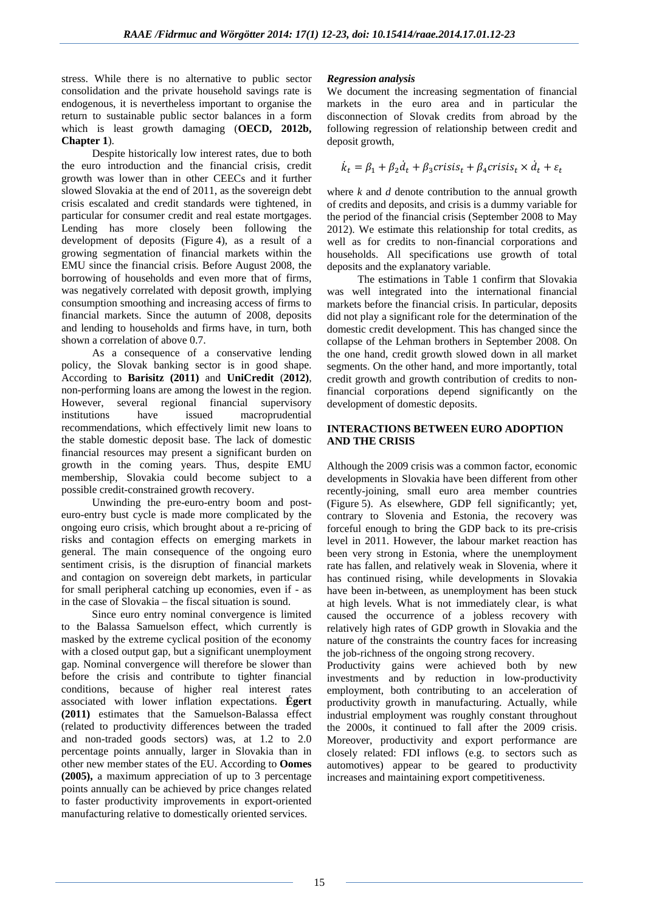stress. While there is no alternative to public sector consolidation and the private household savings rate is endogenous, it is nevertheless important to organise the return to sustainable public sector balances in a form which is least growth damaging (**OECD, 2012b, Chapter 1**).

Despite historically low interest rates, due to both the euro introduction and the financial crisis, credit growth was lower than in other CEECs and it further slowed Slovakia at the end of 2011, as the sovereign debt crisis escalated and credit standards were tightened, in particular for consumer credit and real estate mortgages. Lending has more closely been following the development of deposits (Figure 4), as a result of a growing segmentation of financial markets within the EMU since the financial crisis. Before August 2008, the borrowing of households and even more that of firms, was negatively correlated with deposit growth, implying consumption smoothing and increasing access of firms to financial markets. Since the autumn of 2008, deposits and lending to households and firms have, in turn, both shown a correlation of above 0.7.

As a consequence of a conservative lending policy, the Slovak banking sector is in good shape. According to **Barisitz (2011)** and **UniCredit** (**2012)**, non-performing loans are among the lowest in the region. However, several regional financial supervisory institutions have issued macroprudential recommendations, which effectively limit new loans to the stable domestic deposit base. The lack of domestic financial resources may present a significant burden on growth in the coming years. Thus, despite EMU membership, Slovakia could become subject to a possible credit-constrained growth recovery.

Unwinding the pre-euro-entry boom and posteuro-entry bust cycle is made more complicated by the ongoing euro crisis, which brought about a re-pricing of risks and contagion effects on emerging markets in general. The main consequence of the ongoing euro sentiment crisis, is the disruption of financial markets and contagion on sovereign debt markets, in particular for small peripheral catching up economies, even if - as in the case of Slovakia – the fiscal situation is sound.

Since euro entry nominal convergence is limited to the Balassa Samuelson effect, which currently is masked by the extreme cyclical position of the economy with a closed output gap, but a significant unemployment gap. Nominal convergence will therefore be slower than before the crisis and contribute to tighter financial conditions, because of higher real interest rates associated with lower inflation expectations. **Égert (2011)** estimates that the Samuelson-Balassa effect (related to productivity differences between the traded and non-traded goods sectors) was, at 1.2 to 2.0 percentage points annually, larger in Slovakia than in other new member states of the EU. According to **Oomes (2005),** a maximum appreciation of up to 3 percentage points annually can be achieved by price changes related to faster productivity improvements in export-oriented manufacturing relative to domestically oriented services.

## *Regression analysis*

We document the increasing segmentation of financial markets in the euro area and in particular the disconnection of Slovak credits from abroad by the following regression of relationship between credit and deposit growth,

$$
\dot{k}_t = \beta_1 + \beta_2 \dot{d}_t + \beta_3 crisis_t + \beta_4 crisis_t \times \dot{d}_t + \varepsilon_t
$$

where *k* and *d* denote contribution to the annual growth of credits and deposits, and crisis is a dummy variable for the period of the financial crisis (September 2008 to May 2012). We estimate this relationship for total credits, as well as for credits to non-financial corporations and households. All specifications use growth of total deposits and the explanatory variable.

The estimations in Table 1 confirm that Slovakia was well integrated into the international financial markets before the financial crisis. In particular, deposits did not play a significant role for the determination of the domestic credit development. This has changed since the collapse of the Lehman brothers in September 2008. On the one hand, credit growth slowed down in all market segments. On the other hand, and more importantly, total credit growth and growth contribution of credits to nonfinancial corporations depend significantly on the development of domestic deposits.

## **INTERACTIONS BETWEEN EURO ADOPTION AND THE CRISIS**

Although the 2009 crisis was a common factor, economic developments in Slovakia have been different from other recently-joining, small euro area member countries (Figure 5). As elsewhere, GDP fell significantly; yet, contrary to Slovenia and Estonia, the recovery was forceful enough to bring the GDP back to its pre-crisis level in 2011. However, the labour market reaction has been very strong in Estonia, where the unemployment rate has fallen, and relatively weak in Slovenia, where it has continued rising, while developments in Slovakia have been in-between, as unemployment has been stuck at high levels. What is not immediately clear, is what caused the occurrence of a jobless recovery with relatively high rates of GDP growth in Slovakia and the nature of the constraints the country faces for increasing the job-richness of the ongoing strong recovery.

Productivity gains were achieved both by new investments and by reduction in low-productivity employment, both contributing to an acceleration of productivity growth in manufacturing. Actually, while industrial employment was roughly constant throughout the 2000s, it continued to fall after the 2009 crisis. Moreover, productivity and export performance are closely related: FDI inflows (e.g. to sectors such as automotives) appear to be geared to productivity increases and maintaining export competitiveness.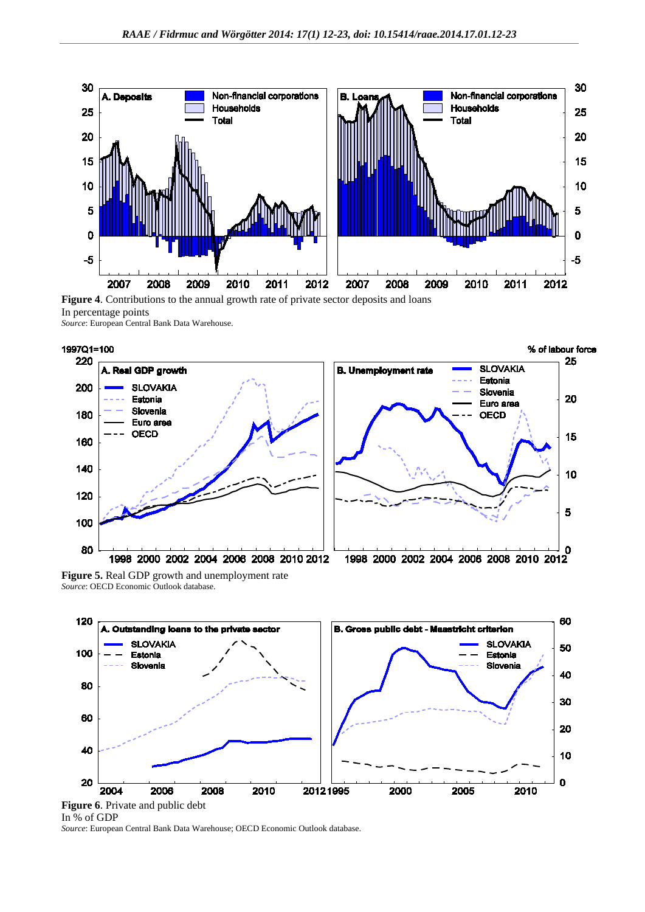



*Source*: European Central Bank Data Warehouse.



**Figure 5.** Real GDP growth and unemployment rate *Source*: OECD Economic Outlook database.



In % of GDP

*Source*: European Central Bank Data Warehouse; OECD Economic Outlook database.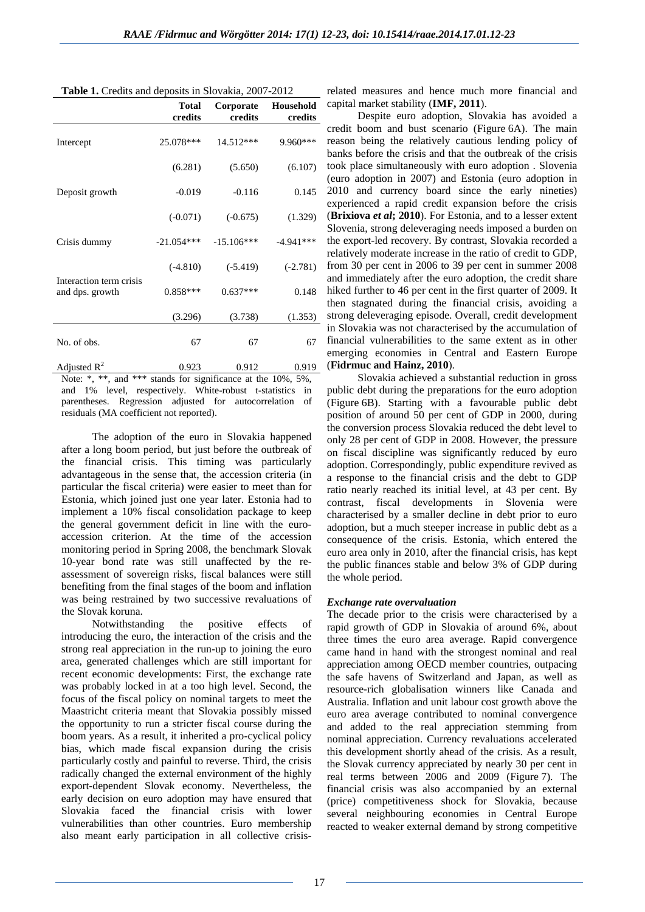|                                            | <b>Total</b><br>credits | Corporate<br>credits | Household<br>credits |
|--------------------------------------------|-------------------------|----------------------|----------------------|
| Intercept                                  | 25.078***               | 14.512***            | 9.960***             |
| Deposit growth                             | (6.281)                 | (5.650)              | (6.107)              |
|                                            | $-0.019$                | $-0.116$             | 0.145                |
|                                            | $(-0.071)$              | $(-0.675)$           | (1.329)              |
| Crisis dummy                               | $-21.054***$            | $-15.106***$         | $-4.941***$          |
|                                            | $(-4.810)$              | $(-5.419)$           | $(-2.781)$           |
| Interaction term crisis<br>and dps. growth | $0.858***$              | $0.637***$           | 0.148                |
|                                            | (3.296)                 | (3.738)              | (1.353)              |
| No. of obs.                                | 67                      | 67                   | 67                   |
| Adjusted $R^2$                             | 0.923                   | 0.912                | 0.919                |

**Table 1.** Credits and deposits in Slovakia, 2007-2012

Note: \*, \*\*, and \*\*\* stands for significance at the 10%, 5%, and 1% level, respectively. White-robust t-statistics in parentheses. Regression adjusted for autocorrelation of residuals (MA coefficient not reported).

The adoption of the euro in Slovakia happened after a long boom period, but just before the outbreak of the financial crisis. This timing was particularly advantageous in the sense that, the accession criteria (in particular the fiscal criteria) were easier to meet than for Estonia, which joined just one year later. Estonia had to implement a 10% fiscal consolidation package to keep the general government deficit in line with the euroaccession criterion. At the time of the accession monitoring period in Spring 2008, the benchmark Slovak 10-year bond rate was still unaffected by the reassessment of sovereign risks, fiscal balances were still benefiting from the final stages of the boom and inflation was being restrained by two successive revaluations of the Slovak koruna.

Notwithstanding the positive effects of introducing the euro, the interaction of the crisis and the strong real appreciation in the run-up to joining the euro area, generated challenges which are still important for recent economic developments: First, the exchange rate was probably locked in at a too high level. Second, the focus of the fiscal policy on nominal targets to meet the Maastricht criteria meant that Slovakia possibly missed the opportunity to run a stricter fiscal course during the boom years. As a result, it inherited a pro-cyclical policy bias, which made fiscal expansion during the crisis particularly costly and painful to reverse. Third, the crisis radically changed the external environment of the highly export-dependent Slovak economy. Nevertheless, the early decision on euro adoption may have ensured that Slovakia faced the financial crisis with lower vulnerabilities than other countries. Euro membership also meant early participation in all collective crisisrelated measures and hence much more financial and capital market stability (**IMF, 2011**).

Despite euro adoption, Slovakia has avoided a credit boom and bust scenario (Figure 6A). The main reason being the relatively cautious lending policy of banks before the crisis and that the outbreak of the crisis took place simultaneously with euro adoption . Slovenia (euro adoption in 2007) and Estonia (euro adoption in 2010 and currency board since the early nineties) experienced a rapid credit expansion before the crisis (**Brixiova** *et al***; 2010**). For Estonia, and to a lesser extent Slovenia, strong deleveraging needs imposed a burden on the export-led recovery. By contrast, Slovakia recorded a relatively moderate increase in the ratio of credit to GDP, from 30 per cent in 2006 to 39 per cent in summer 2008 and immediately after the euro adoption, the credit share hiked further to 46 per cent in the first quarter of 2009. It then stagnated during the financial crisis, avoiding a strong deleveraging episode. Overall, credit development in Slovakia was not characterised by the accumulation of financial vulnerabilities to the same extent as in other emerging economies in Central and Eastern Europe (**Fidrmuc and Hainz, 2010**).

Slovakia achieved a substantial reduction in gross public debt during the preparations for the euro adoption (Figure 6B). Starting with a favourable public debt position of around 50 per cent of GDP in 2000, during the conversion process Slovakia reduced the debt level to only 28 per cent of GDP in 2008. However, the pressure on fiscal discipline was significantly reduced by euro adoption. Correspondingly, public expenditure revived as a response to the financial crisis and the debt to GDP ratio nearly reached its initial level, at 43 per cent. By contrast, fiscal developments in Slovenia were characterised by a smaller decline in debt prior to euro adoption, but a much steeper increase in public debt as a consequence of the crisis. Estonia, which entered the euro area only in 2010, after the financial crisis, has kept the public finances stable and below 3% of GDP during the whole period.

## *Exchange rate overvaluation*

The decade prior to the crisis were characterised by a rapid growth of GDP in Slovakia of around 6%, about three times the euro area average. Rapid convergence came hand in hand with the strongest nominal and real appreciation among OECD member countries, outpacing the safe havens of Switzerland and Japan, as well as resource-rich globalisation winners like Canada and Australia. Inflation and unit labour cost growth above the euro area average contributed to nominal convergence and added to the real appreciation stemming from nominal appreciation. Currency revaluations accelerated this development shortly ahead of the crisis. As a result, the Slovak currency appreciated by nearly 30 per cent in real terms between 2006 and 2009 (Figure 7). The financial crisis was also accompanied by an external (price) competitiveness shock for Slovakia, because several neighbouring economies in Central Europe reacted to weaker external demand by strong competitive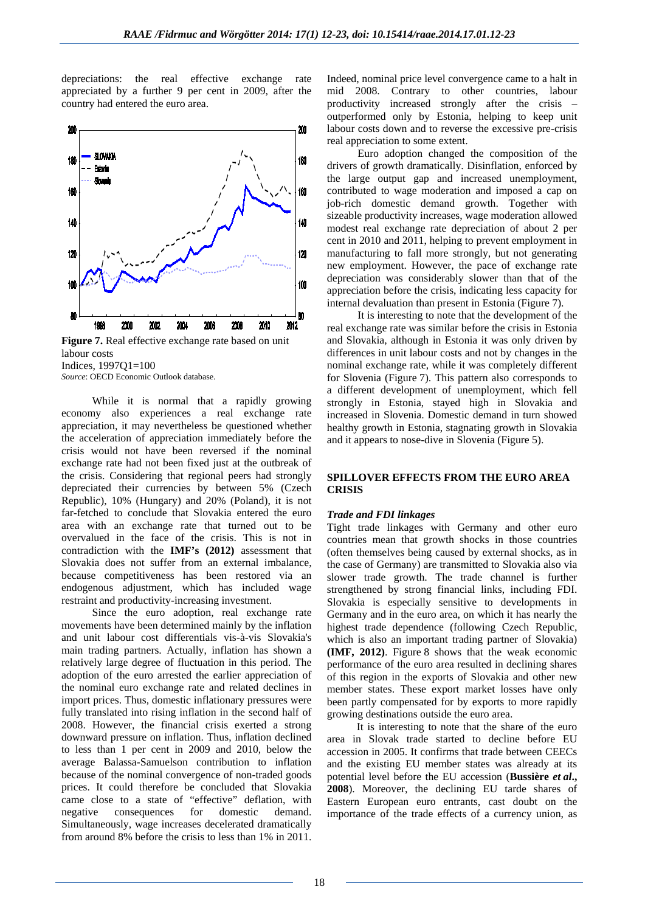depreciations: the real effective exchange rate appreciated by a further 9 per cent in 2009, after the country had entered the euro area.



**Figure 7.** Real effective exchange rate based on unit labour costs Indices, 1997Q1=100 *Source*: OECD Economic Outlook database.

While it is normal that a rapidly growing economy also experiences a real exchange rate appreciation, it may nevertheless be questioned whether the acceleration of appreciation immediately before the crisis would not have been reversed if the nominal exchange rate had not been fixed just at the outbreak of the crisis. Considering that regional peers had strongly depreciated their currencies by between 5% (Czech Republic), 10% (Hungary) and 20% (Poland), it is not far-fetched to conclude that Slovakia entered the euro area with an exchange rate that turned out to be overvalued in the face of the crisis. This is not in contradiction with the **IMF's (2012)** assessment that Slovakia does not suffer from an external imbalance, because competitiveness has been restored via an endogenous adjustment, which has included wage restraint and productivity-increasing investment.

Since the euro adoption, real exchange rate movements have been determined mainly by the inflation and unit labour cost differentials vis-à-vis Slovakia's main trading partners. Actually, inflation has shown a relatively large degree of fluctuation in this period. The adoption of the euro arrested the earlier appreciation of the nominal euro exchange rate and related declines in import prices. Thus, domestic inflationary pressures were fully translated into rising inflation in the second half of 2008. However, the financial crisis exerted a strong downward pressure on inflation. Thus, inflation declined to less than 1 per cent in 2009 and 2010, below the average Balassa-Samuelson contribution to inflation because of the nominal convergence of non-traded goods prices. It could therefore be concluded that Slovakia came close to a state of "effective" deflation, with negative consequences for domestic demand. Simultaneously, wage increases decelerated dramatically from around 8% before the crisis to less than 1% in 2011.

Indeed, nominal price level convergence came to a halt in mid 2008. Contrary to other countries, labour productivity increased strongly after the crisis – outperformed only by Estonia, helping to keep unit labour costs down and to reverse the excessive pre-crisis real appreciation to some extent.

Euro adoption changed the composition of the drivers of growth dramatically. Disinflation, enforced by the large output gap and increased unemployment, contributed to wage moderation and imposed a cap on job-rich domestic demand growth. Together with sizeable productivity increases, wage moderation allowed modest real exchange rate depreciation of about 2 per cent in 2010 and 2011, helping to prevent employment in manufacturing to fall more strongly, but not generating new employment. However, the pace of exchange rate depreciation was considerably slower than that of the appreciation before the crisis, indicating less capacity for internal devaluation than present in Estonia (Figure 7).

It is interesting to note that the development of the real exchange rate was similar before the crisis in Estonia and Slovakia, although in Estonia it was only driven by differences in unit labour costs and not by changes in the nominal exchange rate, while it was completely different for Slovenia (Figure 7). This pattern also corresponds to a different development of unemployment, which fell strongly in Estonia, stayed high in Slovakia and increased in Slovenia. Domestic demand in turn showed healthy growth in Estonia, stagnating growth in Slovakia and it appears to nose-dive in Slovenia (Figure 5).

#### **SPILLOVER EFFECTS FROM THE EURO AREA CRISIS**

#### *Trade and FDI linkages*

Tight trade linkages with Germany and other euro countries mean that growth shocks in those countries (often themselves being caused by external shocks, as in the case of Germany) are transmitted to Slovakia also via slower trade growth. The trade channel is further strengthened by strong financial links, including FDI. Slovakia is especially sensitive to developments in Germany and in the euro area, on which it has nearly the highest trade dependence (following Czech Republic, which is also an important trading partner of Slovakia) **(IMF, 2012)**. Figure 8 shows that the weak economic performance of the euro area resulted in declining shares of this region in the exports of Slovakia and other new member states. These export market losses have only been partly compensated for by exports to more rapidly growing destinations outside the euro area.

It is interesting to note that the share of the euro area in Slovak trade started to decline before EU accession in 2005. It confirms that trade between CEECs and the existing EU member states was already at its potential level before the EU accession (**Bussière** *et al***., 2008**). Moreover, the declining EU tarde shares of Eastern European euro entrants, cast doubt on the importance of the trade effects of a currency union, as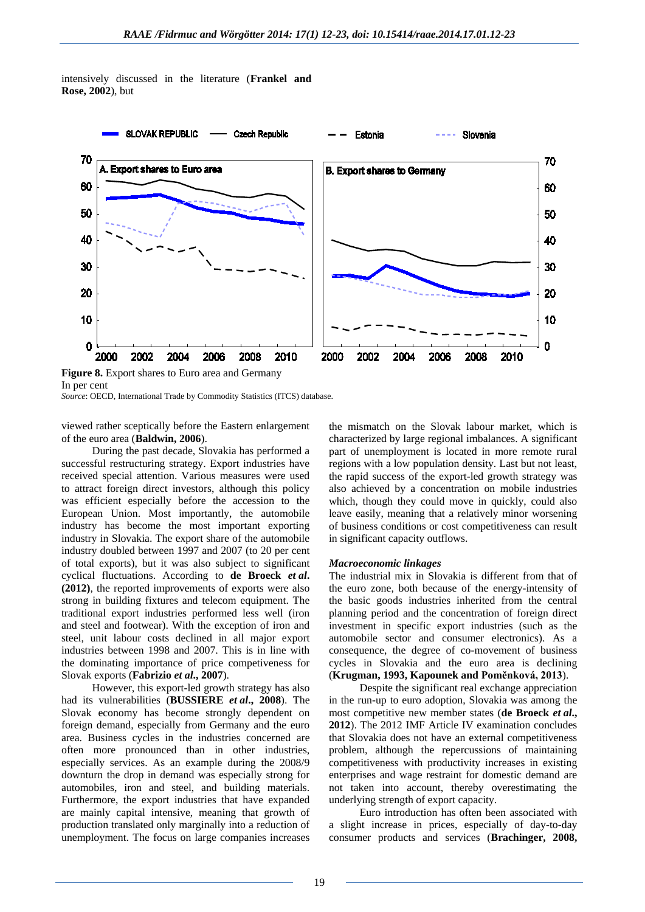

intensively discussed in the literature (**Frankel and Rose, 2002**), but

**Figure 8.** Export shares to Euro area and Germany In per cent

*Source*: OECD, International Trade by Commodity Statistics (ITCS) database.

viewed rather sceptically before the Eastern enlargement of the euro area (**Baldwin, 2006**).

During the past decade, Slovakia has performed a successful restructuring strategy. Export industries have received special attention. Various measures were used to attract foreign direct investors, although this policy was efficient especially before the accession to the European Union. Most importantly, the automobile industry has become the most important exporting industry in Slovakia. The export share of the automobile industry doubled between 1997 and 2007 (to 20 per cent of total exports), but it was also subject to significant cyclical fluctuations. According to **de Broeck** *et al***. (2012)**, the reported improvements of exports were also strong in building fixtures and telecom equipment. The traditional export industries performed less well (iron and steel and footwear). With the exception of iron and steel, unit labour costs declined in all major export industries between 1998 and 2007. This is in line with the dominating importance of price competiveness for Slovak exports (**Fabrizio** *et al***., 2007**).

However, this export-led growth strategy has also had its vulnerabilities (**BUSSIERE** *et al***., 2008**). The Slovak economy has become strongly dependent on foreign demand, especially from Germany and the euro area. Business cycles in the industries concerned are often more pronounced than in other industries, especially services. As an example during the 2008/9 downturn the drop in demand was especially strong for automobiles, iron and steel, and building materials. Furthermore, the export industries that have expanded are mainly capital intensive, meaning that growth of production translated only marginally into a reduction of unemployment. The focus on large companies increases

the mismatch on the Slovak labour market, which is characterized by large regional imbalances. A significant part of unemployment is located in more remote rural regions with a low population density. Last but not least, the rapid success of the export-led growth strategy was also achieved by a concentration on mobile industries which, though they could move in quickly, could also leave easily, meaning that a relatively minor worsening of business conditions or cost competitiveness can result in significant capacity outflows.

#### *Macroeconomic linkages*

The industrial mix in Slovakia is different from that of the euro zone, both because of the energy-intensity of the basic goods industries inherited from the central planning period and the concentration of foreign direct investment in specific export industries (such as the automobile sector and consumer electronics). As a consequence, the degree of co-movement of business cycles in Slovakia and the euro area is declining (**Krugman, 1993, Kapounek and Poměnková, 2013**).

Despite the significant real exchange appreciation in the run-up to euro adoption, Slovakia was among the most competitive new member states (**de Broeck** *et al***., 2012**). The 2012 IMF Article IV examination concludes that Slovakia does not have an external competitiveness problem, although the repercussions of maintaining competitiveness with productivity increases in existing enterprises and wage restraint for domestic demand are not taken into account, thereby overestimating the underlying strength of export capacity.

Euro introduction has often been associated with a slight increase in prices, especially of day-to-day consumer products and services (**Brachinger, 2008,**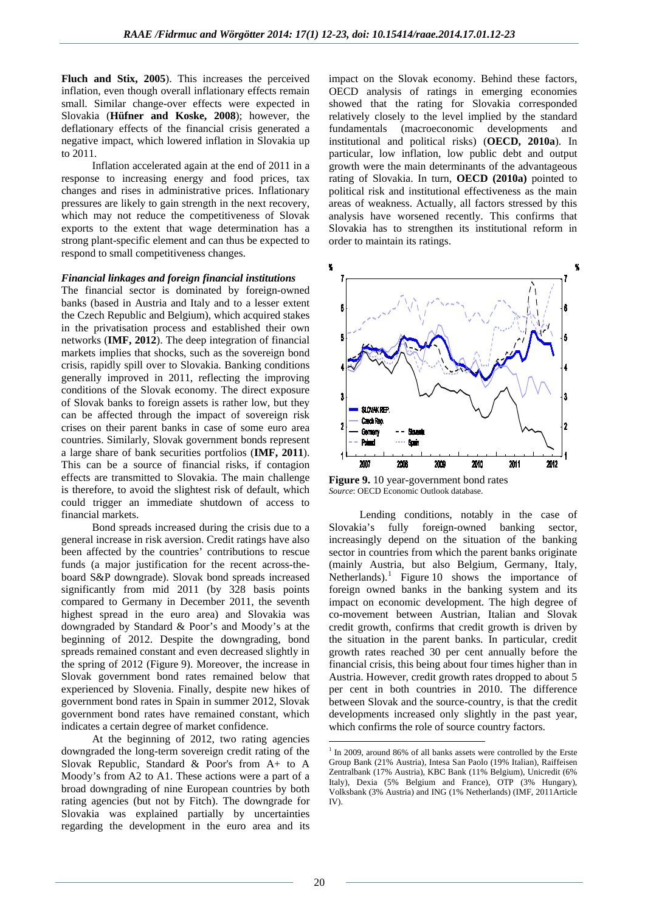**Fluch and Stix, 2005**). This increases the perceived inflation, even though overall inflationary effects remain small. Similar change-over effects were expected in Slovakia (**Hüfner and Koske, 2008**); however, the deflationary effects of the financial crisis generated a negative impact, which lowered inflation in Slovakia up to 2011.

Inflation accelerated again at the end of 2011 in a response to increasing energy and food prices, tax changes and rises in administrative prices. Inflationary pressures are likely to gain strength in the next recovery, which may not reduce the competitiveness of Slovak exports to the extent that wage determination has a strong plant-specific element and can thus be expected to respond to small competitiveness changes.

#### *Financial linkages and foreign financial institutions*

The financial sector is dominated by foreign-owned banks (based in Austria and Italy and to a lesser extent the Czech Republic and Belgium), which acquired stakes in the privatisation process and established their own networks (**IMF, 2012**). The deep integration of financial markets implies that shocks, such as the sovereign bond crisis, rapidly spill over to Slovakia. Banking conditions generally improved in 2011, reflecting the improving conditions of the Slovak economy. The direct exposure of Slovak banks to foreign assets is rather low, but they can be affected through the impact of sovereign risk crises on their parent banks in case of some euro area countries. Similarly, Slovak government bonds represent a large share of bank securities portfolios (**IMF, 2011**). This can be a source of financial risks, if contagion effects are transmitted to Slovakia. The main challenge is therefore, to avoid the slightest risk of default, which could trigger an immediate shutdown of access to financial markets.

Bond spreads increased during the crisis due to a general increase in risk aversion. Credit ratings have also been affected by the countries' contributions to rescue funds (a major justification for the recent across-theboard S&P downgrade). Slovak bond spreads increased significantly from mid 2011 (by 328 basis points compared to Germany in December 2011, the seventh highest spread in the euro area) and Slovakia was downgraded by Standard & Poor's and Moody's at the beginning of 2012. Despite the downgrading, bond spreads remained constant and even decreased slightly in the spring of 2012 (Figure 9). Moreover, the increase in Slovak government bond rates remained below that experienced by Slovenia. Finally, despite new hikes of government bond rates in Spain in summer 2012, Slovak government bond rates have remained constant, which indicates a certain degree of market confidence.

<span id="page-8-0"></span>At the beginning of 2012, two rating agencies downgraded the long-term sovereign credit rating of the Slovak Republic, Standard & Poor's from A+ to A Moody's from A2 to A1. These actions were a part of a broad downgrading of nine European countries by both rating agencies (but not by Fitch). The downgrade for Slovakia was explained partially by uncertainties regarding the development in the euro area and its

impact on the Slovak economy. Behind these factors, OECD analysis of ratings in emerging economies showed that the rating for Slovakia corresponded relatively closely to the level implied by the standard fundamentals (macroeconomic developments and institutional and political risks) (**OECD, 2010a**). In particular, low inflation, low public debt and output growth were the main determinants of the advantageous rating of Slovakia. In turn, **OECD (2010a)** pointed to political risk and institutional effectiveness as the main areas of weakness. Actually, all factors stressed by this analysis have worsened recently. This confirms that Slovakia has to strengthen its institutional reform in order to maintain its ratings.



**Figure 9.** 10 year-government bond rates *Source*: OECD Economic Outlook database.

Lending conditions, notably in the case of Slovakia's fully foreign-owned banking sector, increasingly depend on the situation of the banking sector in countries from which the parent banks originate (mainly Austria, but also Belgium, Germany, Italy, Netherlands).<sup>[1](#page-8-0)</sup> Figure 10 shows the importance of foreign owned banks in the banking system and its impact on economic development. The high degree of co-movement between Austrian, Italian and Slovak credit growth, confirms that credit growth is driven by the situation in the parent banks. In particular, credit growth rates reached 30 per cent annually before the financial crisis, this being about four times higher than in Austria. However, credit growth rates dropped to about 5 per cent in both countries in 2010. The difference between Slovak and the source-country, is that the credit developments increased only slightly in the past year, which confirms the role of source country factors.

1

 $1$  In 2009, around 86% of all banks assets were controlled by the Erste Group Bank (21% Austria), Intesa San Paolo (19% Italian), Raiffeisen Zentralbank (17% Austria), KBC Bank (11% Belgium), Unicredit (6% Italy), Dexia (5% Belgium and France), OTP (3% Hungary), Volksbank (3% Austria) and ING (1% Netherlands) (IMF, 2011Article IV).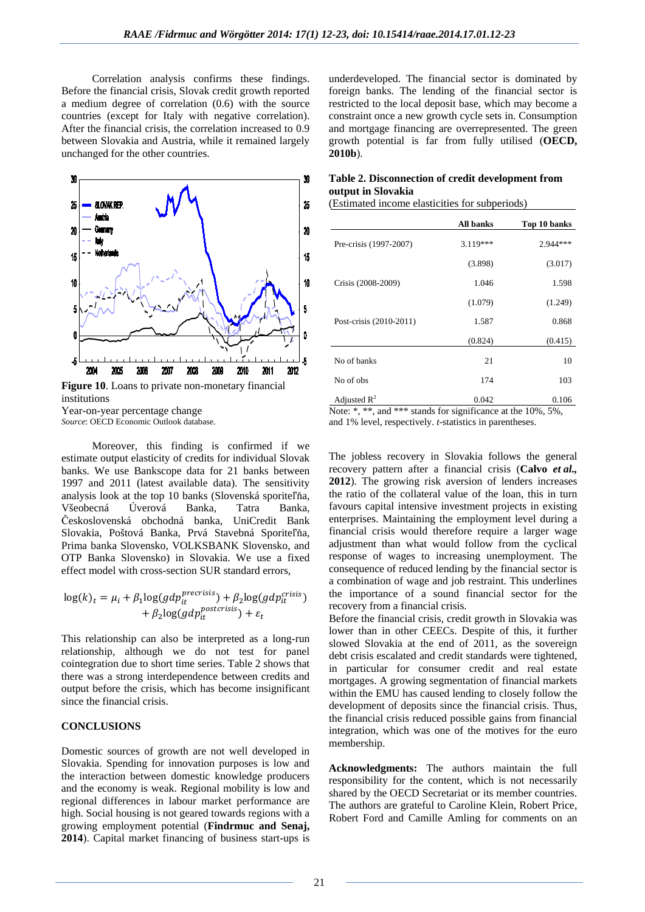Correlation analysis confirms these findings. Before the financial crisis, Slovak credit growth reported a medium degree of correlation (0.6) with the source countries (except for Italy with negative correlation). After the financial crisis, the correlation increased to 0.9 between Slovakia and Austria, while it remained largely unchanged for the other countries.



**Figure 10**. Loans to private non-monetary financial institutions Year-on-year percentage change

*Source*: OECD Economic Outlook database.

Moreover, this finding is confirmed if we estimate output elasticity of credits for individual Slovak banks. We use Bankscope data for 21 banks between 1997 and 2011 (latest available data). The sensitivity analysis look at the top 10 banks (Slovenská sporiteľňa, Všeobecná Úverová Banka, Tatra Banka, Československá obchodná banka, UniCredit Bank Slovakia, Poštová Banka, Prvá Stavebná Sporiteľňa, Prima banka Slovensko, VOLKSBANK Slovensko, and OTP Banka Slovensko) in Slovakia. We use a fixed effect model with cross-section SUR standard errors,

$$
\log(k)_t = \mu_i + \beta_1 \log(gdp_{it}^{precrisis}) + \beta_2 \log(gdp_{it}^{crisis}) + \beta_2 \log(gdp_{it}^{postcrisis}) + \varepsilon_t
$$

This relationship can also be interpreted as a long-run relationship, although we do not test for panel cointegration due to short time series. Table 2 shows that there was a strong interdependence between credits and output before the crisis, which has become insignificant since the financial crisis.

#### **CONCLUSIONS**

Domestic sources of growth are not well developed in Slovakia. Spending for innovation purposes is low and the interaction between domestic knowledge producers and the economy is weak. Regional mobility is low and regional differences in labour market performance are high. Social housing is not geared towards regions with a growing employment potential (**Findrmuc and Senaj, 2014**). Capital market financing of business start-ups is

underdeveloped. The financial sector is dominated by foreign banks. The lending of the financial sector is restricted to the local deposit base, which may become a constraint once a new growth cycle sets in. Consumption and mortgage financing are overrepresented. The green growth potential is far from fully utilised (**OECD, 2010b**).

### **Table 2. Disconnection of credit development from output in Slovakia**

(Estimated income elasticities for subperiods)

|                         | <b>All banks</b> | Top 10 banks |
|-------------------------|------------------|--------------|
| Pre-crisis (1997-2007)  | $3.119***$       | $2.944***$   |
|                         | (3.898)          | (3.017)      |
| Crisis (2008-2009)      | 1.046            | 1.598        |
|                         | (1.079)          | (1.249)      |
| Post-crisis (2010-2011) | 1.587            | 0.868        |
|                         | (0.824)          | (0.415)      |
| No of banks             | 21               | 10           |
| No of obs               | 174              | 103          |
| Adjusted $R^2$          | 0.042            | 0.106        |

Note: \*, \*\*, and \*\*\* stands for significance at the 10%, 5%, and 1% level, respectively. *t*-statistics in parentheses.

The jobless recovery in Slovakia follows the general recovery pattern after a financial crisis (**Calvo** *et al.,* **2012**). The growing risk aversion of lenders increases the ratio of the collateral value of the loan, this in turn favours capital intensive investment projects in existing enterprises. Maintaining the employment level during a financial crisis would therefore require a larger wage adjustment than what would follow from the cyclical response of wages to increasing unemployment. The consequence of reduced lending by the financial sector is a combination of wage and job restraint. This underlines the importance of a sound financial sector for the recovery from a financial crisis.

Before the financial crisis, credit growth in Slovakia was lower than in other CEECs. Despite of this, it further slowed Slovakia at the end of 2011, as the sovereign debt crisis escalated and credit standards were tightened, in particular for consumer credit and real estate mortgages. A growing segmentation of financial markets within the EMU has caused lending to closely follow the development of deposits since the financial crisis. Thus, the financial crisis reduced possible gains from financial integration, which was one of the motives for the euro membership.

**Acknowledgments:** The authors maintain the full responsibility for the content, which is not necessarily shared by the OECD Secretariat or its member countries. The authors are grateful to Caroline Klein, Robert Price, Robert Ford and Camille Amling for comments on an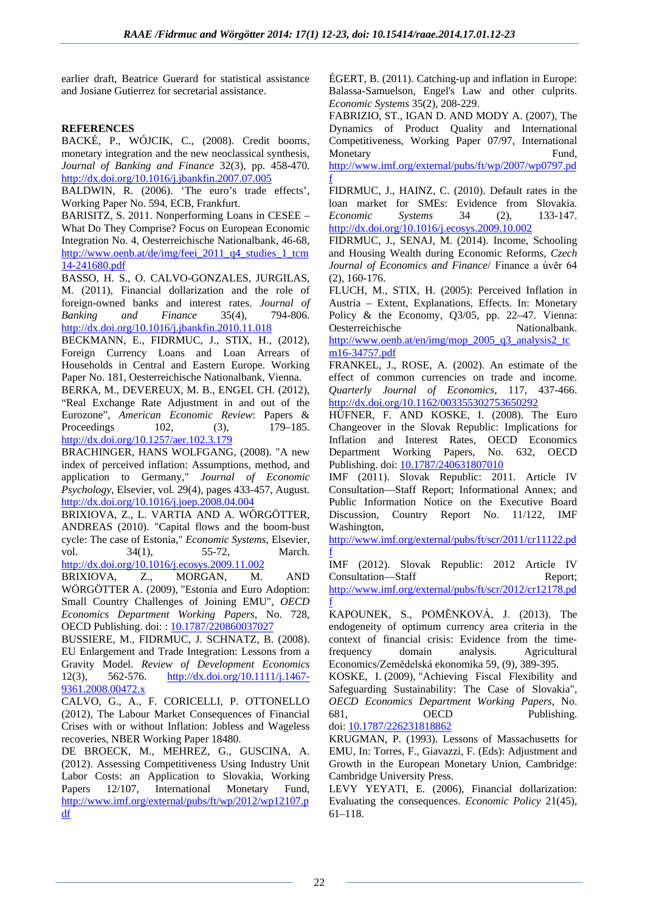earlier draft, Beatrice Guerard for statistical assistance and Josiane Gutierrez for secretarial assistance.

## **REFERENCES**

BACKÉ, P., WÓJCIK, C., (2008). Credit booms, monetary integration and the new neoclassical synthesis, *Journal of Banking and Finance* 32(3), pp. 458-470. <http://dx.doi.org/10.1016/j.jbankfin.2007.07.005>

BALDWIN, R. (2006). 'The euro's trade effects', Working Paper No. 594, ECB, Frankfurt.

BARISITZ, S. 2011. Nonperforming Loans in CESEE – What Do They Comprise? Focus on European Economic Integration No. 4, Oesterreichische Nationalbank, 46-68, [http://www.oenb.at/de/img/feei\\_2011\\_q4\\_studies\\_1\\_tcm](http://www.oenb.at/de/img/feei_2011_q4_studies_1_tcm14-241680.pdf.) [14-241680.pdf](http://www.oenb.at/de/img/feei_2011_q4_studies_1_tcm14-241680.pdf.)

BASSO, H. S., O. CALVO-GONZALES, JURGILAS, M. (2011), Financial dollarization and the role of foreign-owned banks and interest rates. *Journal of Banking and Finance* 35(4), 794-806. <http://dx.doi.org/10.1016/j.jbankfin.2010.11.018>

BECKMANN, E., FIDRMUC, J., STIX, H., (2012), Foreign Currency Loans and Loan Arrears of Households in Central and Eastern Europe. Working Paper No. 181, Oesterreichische Nationalbank, Vienna. BERKA, M., DEVEREUX, M. B., ENGEL CH. (2012), "Real Exchange Rate Adjustment in and out of the Eurozone", *American Economic Review*: Papers & Proceedings 102, (3), 179–185.

<http://dx.doi.org/10.1257/aer.102.3.179>

BRACHINGER, HANS WOLFGANG, (2008). "A new index of perceived inflation: Assumptions, method, and application to Germany," *Journal of Economic Psychology*, Elsevier, vol. 29(4), pages 433-457, August. <http://dx.doi.org/10.1016/j.joep.2008.04.004>

BRIXIOVA, Z., L. VARTIA AND A. WÖRGÖTTER, ANDREAS (2010). ["Capital flows and the boom-bust](http://ideas.repec.org/a/eee/ecosys/v34y2010i1p55-72.html)  [cycle: The case of Estonia,](http://ideas.repec.org/a/eee/ecosys/v34y2010i1p55-72.html)" *[Economic Systems](http://ideas.repec.org/s/eee/ecosys.html)*, Elsevier, vol. 34(1), 55-72, March. <http://dx.doi.org/10.1016/j.ecosys.2009.11.002>

BRIXIOVA, Z., MORGAN, M. AND WÖRGÖTTER A. (2009), "Estonia and Euro Adoption: Small Country Challenges of Joining EMU", *OECD Economics Department Working Papers*, No. 728, OECD Publishing. doi: [: 10.1787/220860037027](http://www.oecd-ilibrary.org/economics/estonia-and-euro-adoption_220860037027)

BUSSIERE, M., FIDRMUC, J. SCHNATZ, B. (2008). EU Enlargement and Trade Integration: Lessons from a Gravity Model. *Review of Development Economics* 12(3), 562-576. [http://dx.doi.org/10.1111/j.1467-](http://dx.doi.org/10.1111/j.1467-9361.2008.00472.x) [9361.2008.00472.x](http://dx.doi.org/10.1111/j.1467-9361.2008.00472.x)

CALVO, G., A., F. CORICELLI, P. OTTONELLO (2012), The Labour Market Consequences of Financial Crises with or without Inflation: Jobless and Wageless recoveries, NBER Working Paper 18480.

DE BROECK, M., MEHREZ, G., GUSCINA, A. (2012). Assessing Competitiveness Using Industry Unit Labor Costs: an Application to Slovakia, Working Papers 12/107, International Monetary Fund, [http://www.imf.org/external/pubs/ft/wp/2012/wp12107.p](http://www.imf.org/external/pubs/ft/wp/2012/wp12107.pdf) [df](http://www.imf.org/external/pubs/ft/wp/2012/wp12107.pdf)

ÉGERT, B. (2011). Catching-up and inflation in Europe: Balassa-Samuelson, Engel's Law and other culprits. *Economic Systems* 35(2), 208-229.

FABRIZIO, ST., IGAN D. AND MODY A. (2007), The Dynamics of Product Quality and International Competitiveness, Working Paper 07/97, International Monetary Fund,

[http://www.imf.org/external/pubs/ft/wp/2007/wp0797.pd](http://www.imf.org/external/pubs/ft/wp/2007/wp0797.pdf) [f](http://www.imf.org/external/pubs/ft/wp/2007/wp0797.pdf)

FIDRMUC, J., HAINZ, C. (2010). Default rates in the loan market for SMEs: Evidence from Slovakia. *Economic Systems* 34 (2), 133-147. <http://dx.doi.org/10.1016/j.ecosys.2009.10.002>

FIDRMUC, J., SENAJ, M. (2014). Income, Schooling and Housing Wealth during Economic Reforms, *Czech Journal of Economics and Finance*/ Finance a úvěr 64 (2), 160-176.

FLUCH, M., STIX, H. (2005): Perceived Inflation in Austria – Extent, Explanations, Effects. In: Monetary Policy & the Economy, Q3/05, pp. 22–47. Vienna: Oesterreichische Nationalbank. [http://www.oenb.at/en/img/mop\\_2005\\_q3\\_analysis2\\_tc](http://www.oenb.at/en/img/mop_2005_q3_analysis2_tcm16-34757.pdf.)

[m16-34757.pdf](http://www.oenb.at/en/img/mop_2005_q3_analysis2_tcm16-34757.pdf.)

FRANKEL, J., ROSE, A. (2002). An estimate of the effect of common currencies on trade and income. *Quarterly Journal of Economics*, 117, 437-466. <http://dx.doi.org/10.1162/003355302753650292>

HÜFNER, F. AND KOSKE, I. (2008). The Euro Changeover in the Slovak Republic: Implications for Inflation and Interest Rates, OECD Economics Department Working Papers, No. 632, OECD Publishing. doi: [10.1787/240631807010](http://www.oecd-ilibrary.org/economics/the-euro-changeover-in-the-slovak-republic_240631807010)

IMF (2011). Slovak Republic: 2011. Article IV Consultation—Staff Report; Informational Annex; and Public Information Notice on the Executive Board Discussion, Country Report No. 11/122, IMF Washington,

[http://www.imf.org/external/pubs/ft/scr/2011/cr11122.pd](http://www.imf.org/external/pubs/ft/scr/2011/cr11122.pdf) [f](http://www.imf.org/external/pubs/ft/scr/2011/cr11122.pdf)

IMF (2012). Slovak Republic: 2012 Article IV Consultation—Staff Report;

[http://www.imf.org/external/pubs/ft/scr/2012/cr12178.pd](http://www.imf.org/external/pubs/ft/scr/2012/cr12178.pdf) [f](http://www.imf.org/external/pubs/ft/scr/2012/cr12178.pdf)

KAPOUNEK, S., POMĚNKOVÁ, J. (2013). The endogeneity of optimum currency area criteria in the context of financial crisis: Evidence from the timefrequency domain analysis. Agricultural Economics/Zemědelská ekonomika 59, (9), 389-395.

KOSKE, I. (2009), "Achieving Fiscal Flexibility and Safeguarding Sustainability: The Case of Slovakia", *OECD Economics Department Working Papers*, No. 681, OECD Publishing. doi[: 10.1787/226231818862](http://www.oecd-ilibrary.org/economics/achieving-fiscal-flexibility-and-safeguarding-sustainability_226231818862)

KRUGMAN, P. (1993). Lessons of Massachusetts for EMU, In: Torres, F., Giavazzi, F. (Eds): Adjustment and Growth in the European Monetary Union, Cambridge: Cambridge University Press.

LEVY YEYATI, E. (2006), Financial dollarization: Evaluating the consequences. *Economic Policy* 21(45), 61–118.